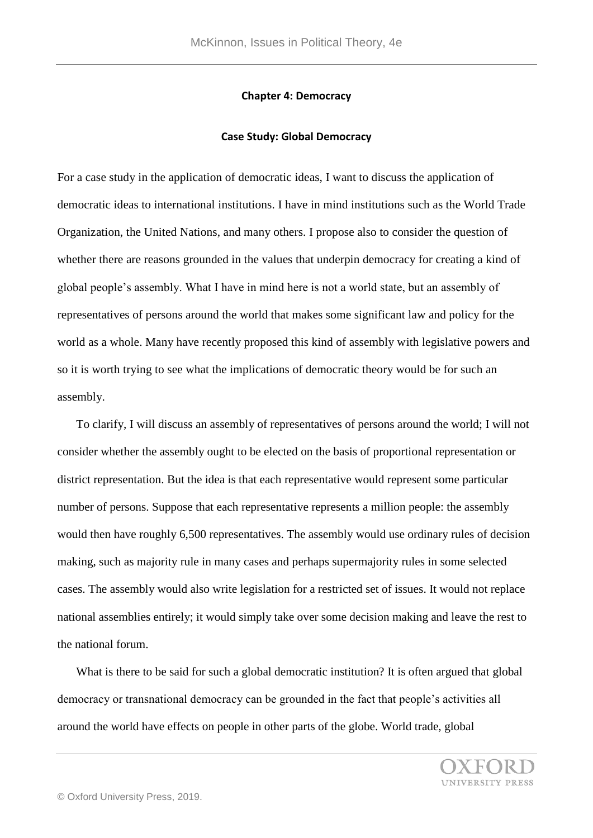## **Chapter 4: Democracy**

## **Case Study: Global Democracy**

For a case study in the application of democratic ideas, I want to discuss the application of democratic ideas to international institutions. I have in mind institutions such as the World Trade Organization, the United Nations, and many others. I propose also to consider the question of whether there are reasons grounded in the values that underpin democracy for creating a kind of global people's assembly. What I have in mind here is not a world state, but an assembly of representatives of persons around the world that makes some significant law and policy for the world as a whole. Many have recently proposed this kind of assembly with legislative powers and so it is worth trying to see what the implications of democratic theory would be for such an assembly.

 To clarify, I will discuss an assembly of representatives of persons around the world; I will not consider whether the assembly ought to be elected on the basis of proportional representation or district representation. But the idea is that each representative would represent some particular number of persons. Suppose that each representative represents a million people: the assembly would then have roughly 6,500 representatives. The assembly would use ordinary rules of decision making, such as majority rule in many cases and perhaps supermajority rules in some selected cases. The assembly would also write legislation for a restricted set of issues. It would not replace national assemblies entirely; it would simply take over some decision making and leave the rest to the national forum.

What is there to be said for such a global democratic institution? It is often argued that global democracy or transnational democracy can be grounded in the fact that people's activities all around the world have effects on people in other parts of the globe. World trade, global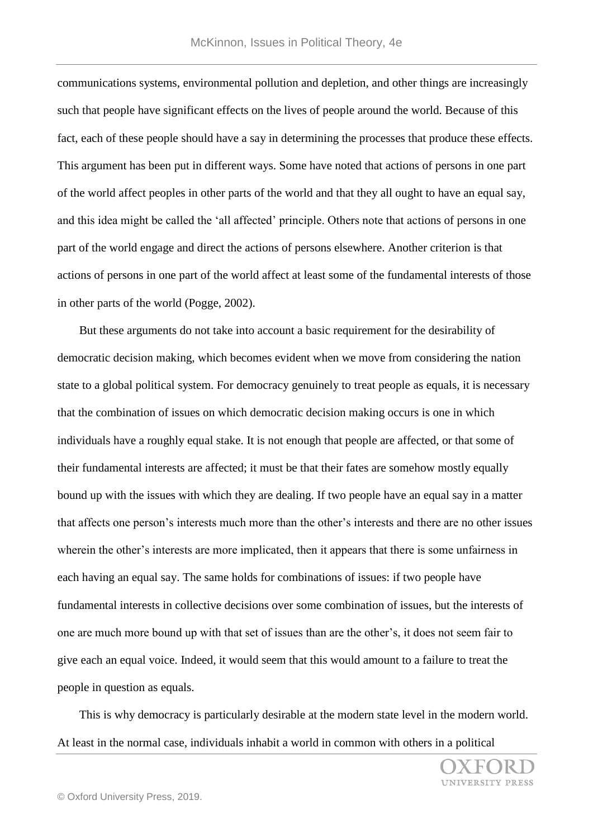communications systems, environmental pollution and depletion, and other things are increasingly such that people have significant effects on the lives of people around the world. Because of this fact, each of these people should have a say in determining the processes that produce these effects. This argument has been put in different ways. Some have noted that actions of persons in one part of the world affect peoples in other parts of the world and that they all ought to have an equal say, and this idea might be called the 'all affected' principle. Others note that actions of persons in one part of the world engage and direct the actions of persons elsewhere. Another criterion is that actions of persons in one part of the world affect at least some of the fundamental interests of those in other parts of the world (Pogge, 2002).

 But these arguments do not take into account a basic requirement for the desirability of democratic decision making, which becomes evident when we move from considering the nation state to a global political system. For democracy genuinely to treat people as equals, it is necessary that the combination of issues on which democratic decision making occurs is one in which individuals have a roughly equal stake. It is not enough that people are affected, or that some of their fundamental interests are affected; it must be that their fates are somehow mostly equally bound up with the issues with which they are dealing. If two people have an equal say in a matter that affects one person's interests much more than the other's interests and there are no other issues wherein the other's interests are more implicated, then it appears that there is some unfairness in each having an equal say. The same holds for combinations of issues: if two people have fundamental interests in collective decisions over some combination of issues, but the interests of one are much more bound up with that set of issues than are the other's, it does not seem fair to give each an equal voice. Indeed, it would seem that this would amount to a failure to treat the people in question as equals.

 This is why democracy is particularly desirable at the modern state level in the modern world. At least in the normal case, individuals inhabit a world in common with others in a political

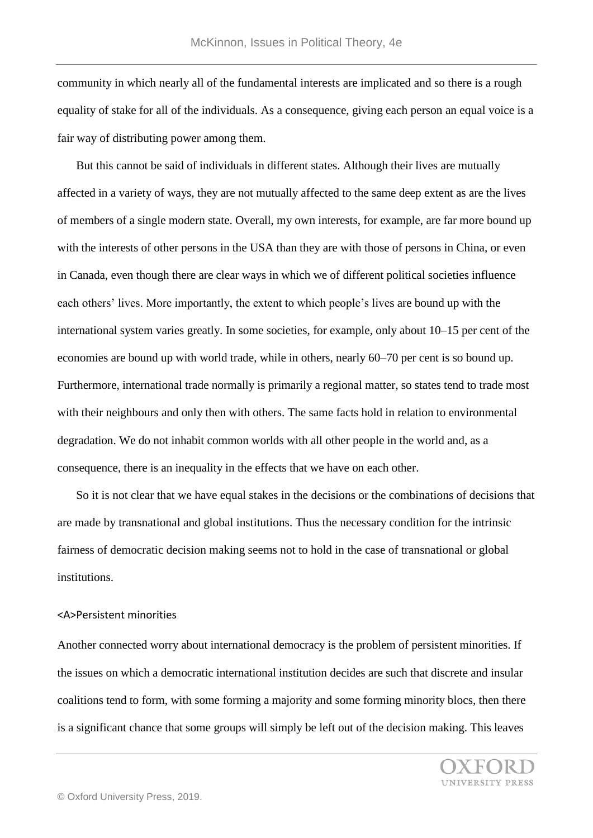community in which nearly all of the fundamental interests are implicated and so there is a rough equality of stake for all of the individuals. As a consequence, giving each person an equal voice is a fair way of distributing power among them.

 But this cannot be said of individuals in different states. Although their lives are mutually affected in a variety of ways, they are not mutually affected to the same deep extent as are the lives of members of a single modern state. Overall, my own interests, for example, are far more bound up with the interests of other persons in the USA than they are with those of persons in China, or even in Canada, even though there are clear ways in which we of different political societies influence each others' lives. More importantly, the extent to which people's lives are bound up with the international system varies greatly. In some societies, for example, only about 10–15 per cent of the economies are bound up with world trade, while in others, nearly 60–70 per cent is so bound up. Furthermore, international trade normally is primarily a regional matter, so states tend to trade most with their neighbours and only then with others. The same facts hold in relation to environmental degradation. We do not inhabit common worlds with all other people in the world and, as a consequence, there is an inequality in the effects that we have on each other.

 So it is not clear that we have equal stakes in the decisions or the combinations of decisions that are made by transnational and global institutions. Thus the necessary condition for the intrinsic fairness of democratic decision making seems not to hold in the case of transnational or global institutions.

## <A>Persistent minorities

Another connected worry about international democracy is the problem of persistent minorities. If the issues on which a democratic international institution decides are such that discrete and insular coalitions tend to form, with some forming a majority and some forming minority blocs, then there is a significant chance that some groups will simply be left out of the decision making. This leaves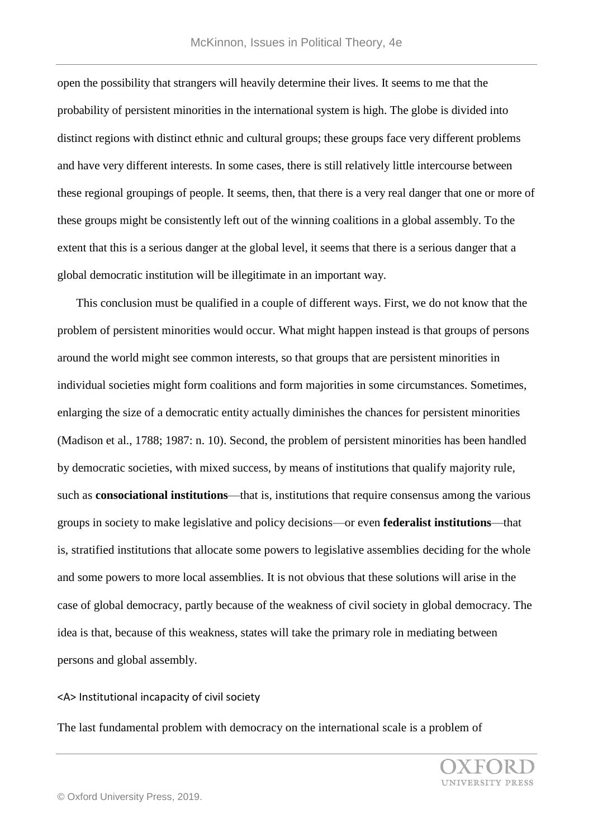open the possibility that strangers will heavily determine their lives. It seems to me that the probability of persistent minorities in the international system is high. The globe is divided into distinct regions with distinct ethnic and cultural groups; these groups face very different problems and have very different interests. In some cases, there is still relatively little intercourse between these regional groupings of people. It seems, then, that there is a very real danger that one or more of these groups might be consistently left out of the winning coalitions in a global assembly. To the extent that this is a serious danger at the global level, it seems that there is a serious danger that a global democratic institution will be illegitimate in an important way.

 This conclusion must be qualified in a couple of different ways. First, we do not know that the problem of persistent minorities would occur. What might happen instead is that groups of persons around the world might see common interests, so that groups that are persistent minorities in individual societies might form coalitions and form majorities in some circumstances. Sometimes, enlarging the size of a democratic entity actually diminishes the chances for persistent minorities (Madison et al., 1788; 1987: n. 10). Second, the problem of persistent minorities has been handled by democratic societies, with mixed success, by means of institutions that qualify majority rule, such as **consociational institutions**—that is, institutions that require consensus among the various groups in society to make legislative and policy decisions—or even **federalist institutions**—that is, stratified institutions that allocate some powers to legislative assemblies deciding for the whole and some powers to more local assemblies. It is not obvious that these solutions will arise in the case of global democracy, partly because of the weakness of civil society in global democracy. The idea is that, because of this weakness, states will take the primary role in mediating between persons and global assembly.

<A> Institutional incapacity of civil society

The last fundamental problem with democracy on the international scale is a problem of

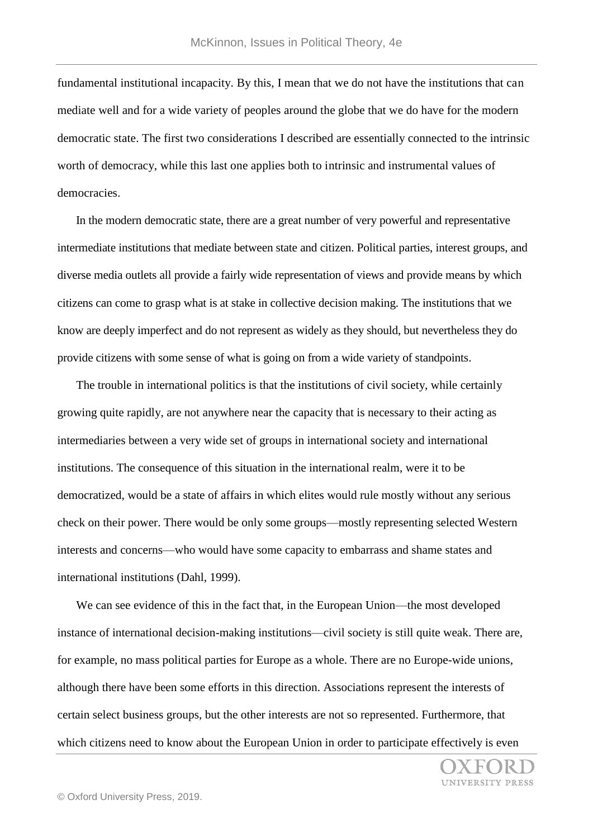fundamental institutional incapacity. By this, I mean that we do not have the institutions that can mediate well and for a wide variety of peoples around the globe that we do have for the modern democratic state. The first two considerations I described are essentially connected to the intrinsic worth of democracy, while this last one applies both to intrinsic and instrumental values of democracies.

 In the modern democratic state, there are a great number of very powerful and representative intermediate institutions that mediate between state and citizen. Political parties, interest groups, and diverse media outlets all provide a fairly wide representation of views and provide means by which citizens can come to grasp what is at stake in collective decision making. The institutions that we know are deeply imperfect and do not represent as widely as they should, but nevertheless they do provide citizens with some sense of what is going on from a wide variety of standpoints.

 The trouble in international politics is that the institutions of civil society, while certainly growing quite rapidly, are not anywhere near the capacity that is necessary to their acting as intermediaries between a very wide set of groups in international society and international institutions. The consequence of this situation in the international realm, were it to be democratized, would be a state of affairs in which elites would rule mostly without any serious check on their power. There would be only some groups—mostly representing selected Western interests and concerns—who would have some capacity to embarrass and shame states and international institutions (Dahl, 1999).

 We can see evidence of this in the fact that, in the European Union—the most developed instance of international decision-making institutions—civil society is still quite weak. There are, for example, no mass political parties for Europe as a whole. There are no Europe-wide unions, although there have been some efforts in this direction. Associations represent the interests of certain select business groups, but the other interests are not so represented. Furthermore, that which citizens need to know about the European Union in order to participate effectively is even